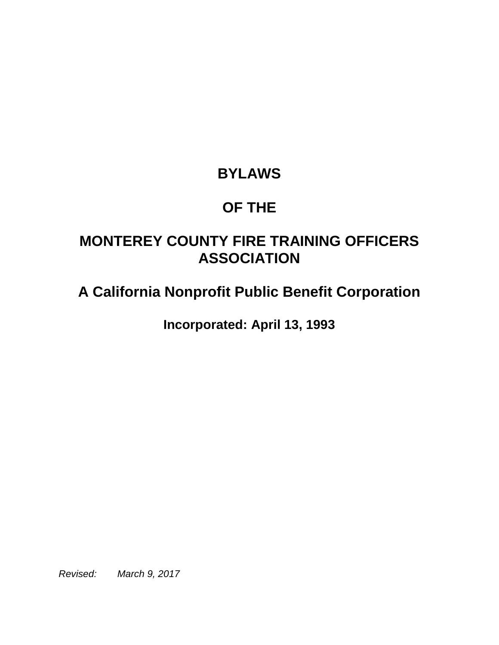# **BYLAWS**

# **OF THE**

# **MONTEREY COUNTY FIRE TRAINING OFFICERS ASSOCIATION**

# **A California Nonprofit Public Benefit Corporation**

**Incorporated: April 13, 1993**

*Revised: March 9, 2017*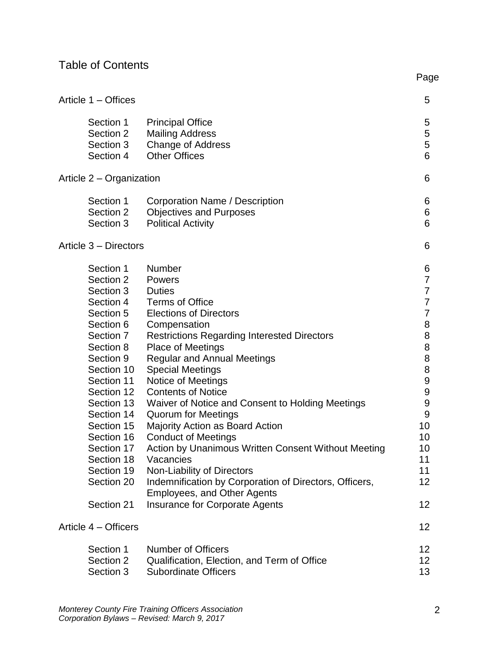|  |  |  | <b>Table of Contents</b> |
|--|--|--|--------------------------|
|--|--|--|--------------------------|

|                                                                                                                                                                                                                                                                                           |                                                                                                                                                                                                                                                                                                                                                                                                                                                                                                                                                                                                                                                                                                                                | Page                                                                                                                                                                   |
|-------------------------------------------------------------------------------------------------------------------------------------------------------------------------------------------------------------------------------------------------------------------------------------------|--------------------------------------------------------------------------------------------------------------------------------------------------------------------------------------------------------------------------------------------------------------------------------------------------------------------------------------------------------------------------------------------------------------------------------------------------------------------------------------------------------------------------------------------------------------------------------------------------------------------------------------------------------------------------------------------------------------------------------|------------------------------------------------------------------------------------------------------------------------------------------------------------------------|
| Article 1 – Offices                                                                                                                                                                                                                                                                       |                                                                                                                                                                                                                                                                                                                                                                                                                                                                                                                                                                                                                                                                                                                                | 5                                                                                                                                                                      |
| Section 1<br>Section 2<br>Section 3<br>Section 4                                                                                                                                                                                                                                          | <b>Principal Office</b><br><b>Mailing Address</b><br><b>Change of Address</b><br><b>Other Offices</b>                                                                                                                                                                                                                                                                                                                                                                                                                                                                                                                                                                                                                          | 5<br>5<br>5<br>6                                                                                                                                                       |
| Article 2 – Organization                                                                                                                                                                                                                                                                  |                                                                                                                                                                                                                                                                                                                                                                                                                                                                                                                                                                                                                                                                                                                                | 6                                                                                                                                                                      |
| Section 1<br>Section 2<br>Section 3                                                                                                                                                                                                                                                       | Corporation Name / Description<br><b>Objectives and Purposes</b><br><b>Political Activity</b>                                                                                                                                                                                                                                                                                                                                                                                                                                                                                                                                                                                                                                  | 6<br>6<br>6                                                                                                                                                            |
| Article 3 - Directors                                                                                                                                                                                                                                                                     |                                                                                                                                                                                                                                                                                                                                                                                                                                                                                                                                                                                                                                                                                                                                | 6                                                                                                                                                                      |
| Section 1<br>Section 2<br>Section 3<br>Section 4<br>Section 5<br>Section 6<br>Section 7<br>Section 8<br>Section 9<br>Section 10<br>Section 11<br>Section 12<br>Section 13<br>Section 14<br>Section 15<br>Section 16<br>Section 17<br>Section 18<br>Section 19<br>Section 20<br>Section 21 | <b>Number</b><br><b>Powers</b><br><b>Duties</b><br><b>Terms of Office</b><br><b>Elections of Directors</b><br>Compensation<br><b>Restrictions Regarding Interested Directors</b><br><b>Place of Meetings</b><br><b>Regular and Annual Meetings</b><br><b>Special Meetings</b><br>Notice of Meetings<br><b>Contents of Notice</b><br>Waiver of Notice and Consent to Holding Meetings<br><b>Quorum for Meetings</b><br><b>Majority Action as Board Action</b><br><b>Conduct of Meetings</b><br>Action by Unanimous Written Consent Without Meeting<br>Vacancies<br>Non-Liability of Directors<br>Indemnification by Corporation of Directors, Officers,<br><b>Employees, and Other Agents</b><br>Insurance for Corporate Agents | 6<br>$\overline{7}$<br>$\overline{7}$<br>$\overline{7}$<br>$\overline{7}$<br>8<br>8<br>8<br>8<br>8<br>9<br>9<br>9<br>9<br>10<br>10<br>10<br>11<br>11<br>12<br>12<br>12 |
| Article 4 – Officers                                                                                                                                                                                                                                                                      |                                                                                                                                                                                                                                                                                                                                                                                                                                                                                                                                                                                                                                                                                                                                |                                                                                                                                                                        |
| Section 1<br>Section 2<br>Section 3                                                                                                                                                                                                                                                       | <b>Number of Officers</b><br>Qualification, Election, and Term of Office<br><b>Subordinate Officers</b>                                                                                                                                                                                                                                                                                                                                                                                                                                                                                                                                                                                                                        | 12<br>12<br>13                                                                                                                                                         |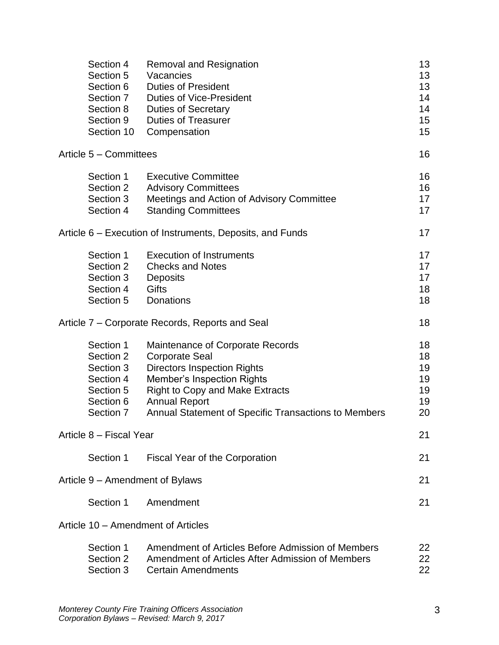| Section 4<br>Section 5<br>Section 6<br>Section 7<br>Section 8<br>Section 9<br>Section 10 | <b>Removal and Resignation</b><br>Vacancies<br><b>Duties of President</b><br><b>Duties of Vice-President</b><br><b>Duties of Secretary</b><br><b>Duties of Treasurer</b><br>Compensation                                                                       | 13<br>13<br>13<br>14<br>14<br>15<br>15 |
|------------------------------------------------------------------------------------------|----------------------------------------------------------------------------------------------------------------------------------------------------------------------------------------------------------------------------------------------------------------|----------------------------------------|
| Article 5 - Committees                                                                   |                                                                                                                                                                                                                                                                | 16                                     |
| Section 1<br>Section 2<br>Section 3<br>Section 4                                         | <b>Executive Committee</b><br><b>Advisory Committees</b><br>Meetings and Action of Advisory Committee<br><b>Standing Committees</b>                                                                                                                            | 16<br>16<br>17<br>17                   |
|                                                                                          | Article 6 – Execution of Instruments, Deposits, and Funds                                                                                                                                                                                                      | 17                                     |
| Section 1<br>Section 2<br>Section 3<br>Section 4<br>Section 5                            | <b>Execution of Instruments</b><br><b>Checks and Notes</b><br><b>Deposits</b><br>Gifts<br><b>Donations</b>                                                                                                                                                     | 17<br>17<br>17<br>18<br>18             |
|                                                                                          | Article 7 – Corporate Records, Reports and Seal                                                                                                                                                                                                                | 18                                     |
| Section 1<br>Section 2<br>Section 3<br>Section 4<br>Section 5<br>Section 6<br>Section 7  | Maintenance of Corporate Records<br><b>Corporate Seal</b><br><b>Directors Inspection Rights</b><br><b>Member's Inspection Rights</b><br><b>Right to Copy and Make Extracts</b><br><b>Annual Report</b><br>Annual Statement of Specific Transactions to Members | 18<br>18<br>19<br>19<br>19<br>19<br>20 |
| Article 8 - Fiscal Year                                                                  |                                                                                                                                                                                                                                                                | 21                                     |
| Section 1                                                                                | <b>Fiscal Year of the Corporation</b>                                                                                                                                                                                                                          | 21                                     |
|                                                                                          | Article 9 - Amendment of Bylaws                                                                                                                                                                                                                                | 21                                     |
| Section 1                                                                                | Amendment                                                                                                                                                                                                                                                      | 21                                     |
|                                                                                          | Article 10 – Amendment of Articles                                                                                                                                                                                                                             |                                        |
| Section 1<br>Section 2<br>Section 3                                                      | Amendment of Articles Before Admission of Members<br>Amendment of Articles After Admission of Members<br><b>Certain Amendments</b>                                                                                                                             | 22<br>22<br>22                         |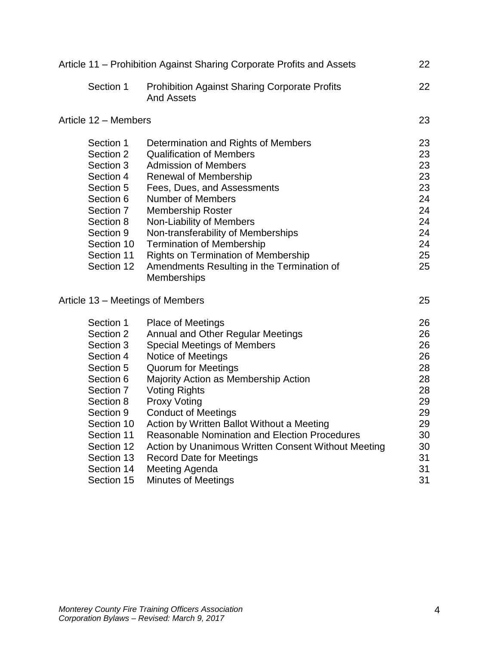| Article 11 – Prohibition Against Sharing Corporate Profits and Assets |                                                                           | 22 |
|-----------------------------------------------------------------------|---------------------------------------------------------------------------|----|
| Section 1                                                             | <b>Prohibition Against Sharing Corporate Profits</b><br><b>And Assets</b> | 22 |
| Article 12 - Members                                                  |                                                                           | 23 |
| Section 1                                                             | Determination and Rights of Members                                       | 23 |
| Section 2                                                             | <b>Qualification of Members</b>                                           | 23 |
| Section 3                                                             | <b>Admission of Members</b>                                               | 23 |
| Section 4                                                             | <b>Renewal of Membership</b>                                              | 23 |
| Section 5                                                             | Fees, Dues, and Assessments                                               | 23 |
| Section 6                                                             | <b>Number of Members</b>                                                  | 24 |
| Section 7                                                             | <b>Membership Roster</b>                                                  | 24 |
| Section 8                                                             | Non-Liability of Members                                                  | 24 |
| Section 9                                                             | Non-transferability of Memberships                                        | 24 |
| Section 10                                                            | <b>Termination of Membership</b>                                          | 24 |
| Section 11                                                            | <b>Rights on Termination of Membership</b>                                | 25 |
| Section 12                                                            | Amendments Resulting in the Termination of<br>Memberships                 | 25 |
| Article 13 – Meetings of Members                                      |                                                                           | 25 |
| Section 1                                                             | <b>Place of Meetings</b>                                                  | 26 |
| Section 2                                                             | <b>Annual and Other Regular Meetings</b>                                  | 26 |
| Section 3                                                             | <b>Special Meetings of Members</b>                                        | 26 |
| Section 4                                                             | Notice of Meetings                                                        | 26 |
| Section 5                                                             | <b>Quorum for Meetings</b>                                                | 28 |
| Section 6                                                             | Majority Action as Membership Action                                      | 28 |
| Section 7                                                             | <b>Voting Rights</b>                                                      | 28 |
| Section 8                                                             | <b>Proxy Voting</b>                                                       | 29 |
| Section 9                                                             | <b>Conduct of Meetings</b>                                                | 29 |
| Section 10                                                            | Action by Written Ballot Without a Meeting                                | 29 |
| Section 11                                                            | <b>Reasonable Nomination and Election Procedures</b>                      | 30 |
| Section 12                                                            | Action by Unanimous Written Consent Without Meeting                       | 30 |
| Section 13                                                            | <b>Record Date for Meetings</b>                                           | 31 |
| Section 14                                                            | Meeting Agenda                                                            | 31 |
| Section 15                                                            | <b>Minutes of Meetings</b>                                                | 31 |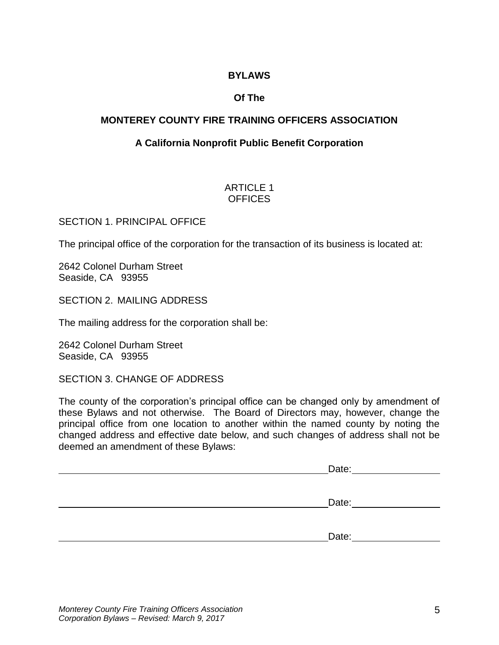# **BYLAWS**

# **Of The**

# **MONTEREY COUNTY FIRE TRAINING OFFICERS ASSOCIATION**

# **A California Nonprofit Public Benefit Corporation**

# ARTICLE 1 **OFFICES**

# SECTION 1. PRINCIPAL OFFICE

The principal office of the corporation for the transaction of its business is located at:

2642 Colonel Durham Street Seaside, CA 93955

SECTION 2. MAILING ADDRESS

The mailing address for the corporation shall be:

2642 Colonel Durham Street Seaside, CA 93955

SECTION 3. CHANGE OF ADDRESS

The county of the corporation's principal office can be changed only by amendment of these Bylaws and not otherwise. The Board of Directors may, however, change the principal office from one location to another within the named county by noting the changed address and effective date below, and such changes of address shall not be deemed an amendment of these Bylaws:

Date: **Date: Date: Date: Date: Date:** 

Date: **Date:** 

Date: **Date: Date: Date: Date:**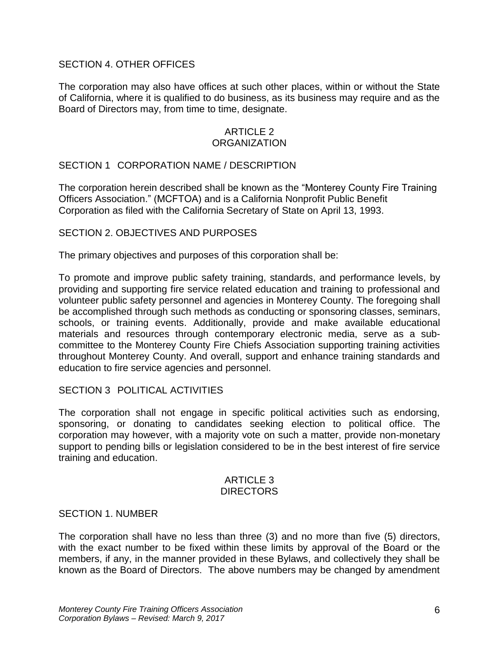# SECTION 4. OTHER OFFICES

The corporation may also have offices at such other places, within or without the State of California, where it is qualified to do business, as its business may require and as the Board of Directors may, from time to time, designate.

## ARTICLE 2 **ORGANIZATION**

# SECTION 1 CORPORATION NAME / DESCRIPTION

The corporation herein described shall be known as the "Monterey County Fire Training Officers Association." (MCFTOA) and is a California Nonprofit Public Benefit Corporation as filed with the California Secretary of State on April 13, 1993.

### SECTION 2. OBJECTIVES AND PURPOSES

The primary objectives and purposes of this corporation shall be:

To promote and improve public safety training, standards, and performance levels, by providing and supporting fire service related education and training to professional and volunteer public safety personnel and agencies in Monterey County. The foregoing shall be accomplished through such methods as conducting or sponsoring classes, seminars, schools, or training events. Additionally, provide and make available educational materials and resources through contemporary electronic media, serve as a subcommittee to the Monterey County Fire Chiefs Association supporting training activities throughout Monterey County. And overall, support and enhance training standards and education to fire service agencies and personnel.

# SECTION 3 POLITICAL ACTIVITIES

The corporation shall not engage in specific political activities such as endorsing, sponsoring, or donating to candidates seeking election to political office. The corporation may however, with a majority vote on such a matter, provide non-monetary support to pending bills or legislation considered to be in the best interest of fire service training and education.

#### ARTICLE 3 **DIRECTORS**

SECTION 1. NUMBER

The corporation shall have no less than three (3) and no more than five (5) directors, with the exact number to be fixed within these limits by approval of the Board or the members, if any, in the manner provided in these Bylaws, and collectively they shall be known as the Board of Directors. The above numbers may be changed by amendment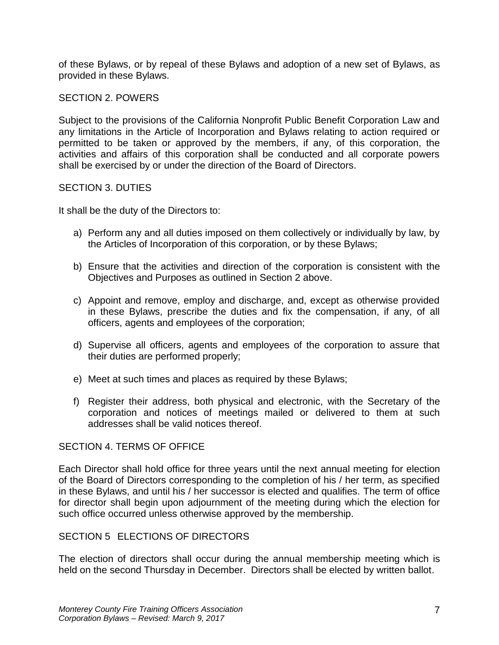of these Bylaws, or by repeal of these Bylaws and adoption of a new set of Bylaws, as provided in these Bylaws.

## SECTION 2. POWERS

Subject to the provisions of the California Nonprofit Public Benefit Corporation Law and any limitations in the Article of Incorporation and Bylaws relating to action required or permitted to be taken or approved by the members, if any, of this corporation, the activities and affairs of this corporation shall be conducted and all corporate powers shall be exercised by or under the direction of the Board of Directors.

### SECTION 3. DUTIES

It shall be the duty of the Directors to:

- a) Perform any and all duties imposed on them collectively or individually by law, by the Articles of Incorporation of this corporation, or by these Bylaws;
- b) Ensure that the activities and direction of the corporation is consistent with the Objectives and Purposes as outlined in Section 2 above.
- c) Appoint and remove, employ and discharge, and, except as otherwise provided in these Bylaws, prescribe the duties and fix the compensation, if any, of all officers, agents and employees of the corporation;
- d) Supervise all officers, agents and employees of the corporation to assure that their duties are performed properly;
- e) Meet at such times and places as required by these Bylaws;
- f) Register their address, both physical and electronic, with the Secretary of the corporation and notices of meetings mailed or delivered to them at such addresses shall be valid notices thereof.

# SECTION 4. TERMS OF OFFICE

Each Director shall hold office for three years until the next annual meeting for election of the Board of Directors corresponding to the completion of his / her term, as specified in these Bylaws, and until his / her successor is elected and qualifies. The term of office for director shall begin upon adjournment of the meeting during which the election for such office occurred unless otherwise approved by the membership.

# SECTION 5 ELECTIONS OF DIRECTORS

The election of directors shall occur during the annual membership meeting which is held on the second Thursday in December. Directors shall be elected by written ballot.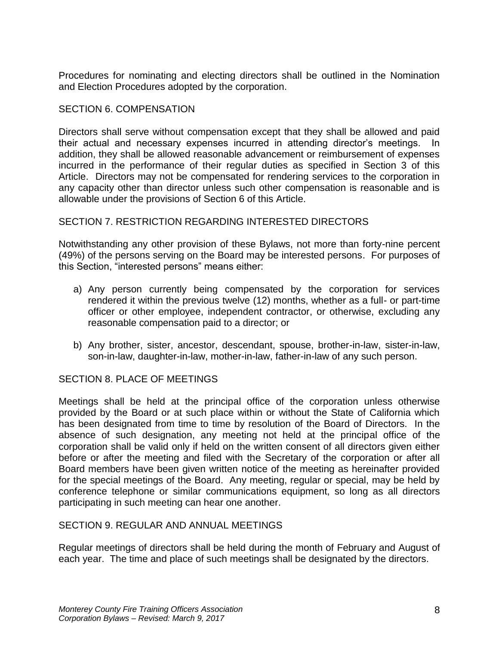Procedures for nominating and electing directors shall be outlined in the Nomination and Election Procedures adopted by the corporation.

# SECTION 6. COMPENSATION

Directors shall serve without compensation except that they shall be allowed and paid their actual and necessary expenses incurred in attending director's meetings. In addition, they shall be allowed reasonable advancement or reimbursement of expenses incurred in the performance of their regular duties as specified in Section 3 of this Article. Directors may not be compensated for rendering services to the corporation in any capacity other than director unless such other compensation is reasonable and is allowable under the provisions of Section 6 of this Article.

# SECTION 7. RESTRICTION REGARDING INTERESTED DIRECTORS

Notwithstanding any other provision of these Bylaws, not more than forty-nine percent (49%) of the persons serving on the Board may be interested persons. For purposes of this Section, "interested persons" means either:

- a) Any person currently being compensated by the corporation for services rendered it within the previous twelve (12) months, whether as a full- or part-time officer or other employee, independent contractor, or otherwise, excluding any reasonable compensation paid to a director; or
- b) Any brother, sister, ancestor, descendant, spouse, brother-in-law, sister-in-law, son-in-law, daughter-in-law, mother-in-law, father-in-law of any such person.

SECTION 8. PLACE OF MEETINGS

Meetings shall be held at the principal office of the corporation unless otherwise provided by the Board or at such place within or without the State of California which has been designated from time to time by resolution of the Board of Directors. In the absence of such designation, any meeting not held at the principal office of the corporation shall be valid only if held on the written consent of all directors given either before or after the meeting and filed with the Secretary of the corporation or after all Board members have been given written notice of the meeting as hereinafter provided for the special meetings of the Board. Any meeting, regular or special, may be held by conference telephone or similar communications equipment, so long as all directors participating in such meeting can hear one another.

# SECTION 9. REGULAR AND ANNUAL MEETINGS

Regular meetings of directors shall be held during the month of February and August of each year. The time and place of such meetings shall be designated by the directors.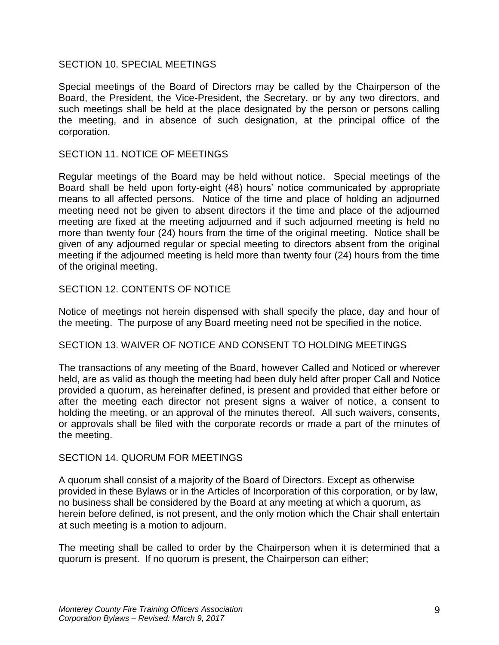## SECTION 10. SPECIAL MEETINGS

Special meetings of the Board of Directors may be called by the Chairperson of the Board, the President, the Vice-President, the Secretary, or by any two directors, and such meetings shall be held at the place designated by the person or persons calling the meeting, and in absence of such designation, at the principal office of the corporation.

### SECTION 11. NOTICE OF MEETINGS

Regular meetings of the Board may be held without notice. Special meetings of the Board shall be held upon forty-eight (48) hours' notice communicated by appropriate means to all affected persons. Notice of the time and place of holding an adjourned meeting need not be given to absent directors if the time and place of the adjourned meeting are fixed at the meeting adjourned and if such adjourned meeting is held no more than twenty four (24) hours from the time of the original meeting. Notice shall be given of any adjourned regular or special meeting to directors absent from the original meeting if the adjourned meeting is held more than twenty four (24) hours from the time of the original meeting.

# SECTION 12. CONTENTS OF NOTICE

Notice of meetings not herein dispensed with shall specify the place, day and hour of the meeting. The purpose of any Board meeting need not be specified in the notice.

#### SECTION 13. WAIVER OF NOTICE AND CONSENT TO HOLDING MEETINGS

The transactions of any meeting of the Board, however Called and Noticed or wherever held, are as valid as though the meeting had been duly held after proper Call and Notice provided a quorum, as hereinafter defined, is present and provided that either before or after the meeting each director not present signs a waiver of notice, a consent to holding the meeting, or an approval of the minutes thereof. All such waivers, consents, or approvals shall be filed with the corporate records or made a part of the minutes of the meeting.

# SECTION 14. QUORUM FOR MEETINGS

A quorum shall consist of a majority of the Board of Directors. Except as otherwise provided in these Bylaws or in the Articles of Incorporation of this corporation, or by law, no business shall be considered by the Board at any meeting at which a quorum, as herein before defined, is not present, and the only motion which the Chair shall entertain at such meeting is a motion to adjourn.

The meeting shall be called to order by the Chairperson when it is determined that a quorum is present. If no quorum is present, the Chairperson can either;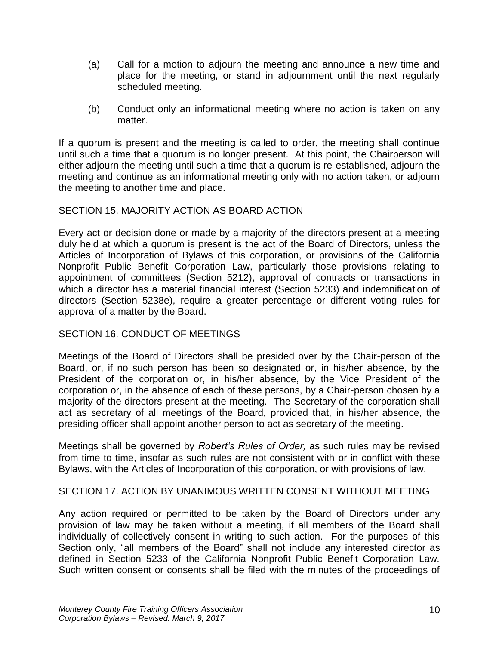- (a) Call for a motion to adjourn the meeting and announce a new time and place for the meeting, or stand in adjournment until the next regularly scheduled meeting.
- (b) Conduct only an informational meeting where no action is taken on any matter.

If a quorum is present and the meeting is called to order, the meeting shall continue until such a time that a quorum is no longer present. At this point, the Chairperson will either adjourn the meeting until such a time that a quorum is re-established, adjourn the meeting and continue as an informational meeting only with no action taken, or adjourn the meeting to another time and place.

# SECTION 15. MAJORITY ACTION AS BOARD ACTION

Every act or decision done or made by a majority of the directors present at a meeting duly held at which a quorum is present is the act of the Board of Directors, unless the Articles of Incorporation of Bylaws of this corporation, or provisions of the California Nonprofit Public Benefit Corporation Law, particularly those provisions relating to appointment of committees (Section 5212), approval of contracts or transactions in which a director has a material financial interest (Section 5233) and indemnification of directors (Section 5238e), require a greater percentage or different voting rules for approval of a matter by the Board.

# SECTION 16. CONDUCT OF MEETINGS

Meetings of the Board of Directors shall be presided over by the Chair-person of the Board, or, if no such person has been so designated or, in his/her absence, by the President of the corporation or, in his/her absence, by the Vice President of the corporation or, in the absence of each of these persons, by a Chair-person chosen by a majority of the directors present at the meeting. The Secretary of the corporation shall act as secretary of all meetings of the Board, provided that, in his/her absence, the presiding officer shall appoint another person to act as secretary of the meeting.

Meetings shall be governed by *Robert's Rules of Order,* as such rules may be revised from time to time, insofar as such rules are not consistent with or in conflict with these Bylaws, with the Articles of Incorporation of this corporation, or with provisions of law.

# SECTION 17. ACTION BY UNANIMOUS WRITTEN CONSENT WITHOUT MEETING

Any action required or permitted to be taken by the Board of Directors under any provision of law may be taken without a meeting, if all members of the Board shall individually of collectively consent in writing to such action. For the purposes of this Section only, "all members of the Board" shall not include any interested director as defined in Section 5233 of the California Nonprofit Public Benefit Corporation Law. Such written consent or consents shall be filed with the minutes of the proceedings of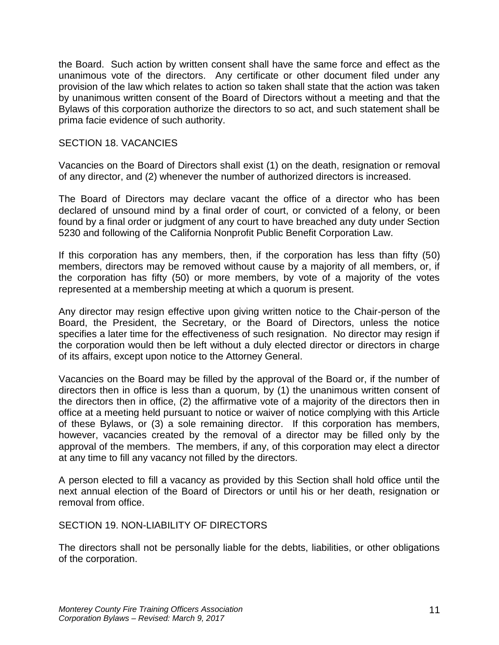the Board. Such action by written consent shall have the same force and effect as the unanimous vote of the directors. Any certificate or other document filed under any provision of the law which relates to action so taken shall state that the action was taken by unanimous written consent of the Board of Directors without a meeting and that the Bylaws of this corporation authorize the directors to so act, and such statement shall be prima facie evidence of such authority.

# SECTION 18. VACANCIES

Vacancies on the Board of Directors shall exist (1) on the death, resignation or removal of any director, and (2) whenever the number of authorized directors is increased.

The Board of Directors may declare vacant the office of a director who has been declared of unsound mind by a final order of court, or convicted of a felony, or been found by a final order or judgment of any court to have breached any duty under Section 5230 and following of the California Nonprofit Public Benefit Corporation Law.

If this corporation has any members, then, if the corporation has less than fifty (50) members, directors may be removed without cause by a majority of all members, or, if the corporation has fifty (50) or more members, by vote of a majority of the votes represented at a membership meeting at which a quorum is present.

Any director may resign effective upon giving written notice to the Chair-person of the Board, the President, the Secretary, or the Board of Directors, unless the notice specifies a later time for the effectiveness of such resignation. No director may resign if the corporation would then be left without a duly elected director or directors in charge of its affairs, except upon notice to the Attorney General.

Vacancies on the Board may be filled by the approval of the Board or, if the number of directors then in office is less than a quorum, by (1) the unanimous written consent of the directors then in office, (2) the affirmative vote of a majority of the directors then in office at a meeting held pursuant to notice or waiver of notice complying with this Article of these Bylaws, or (3) a sole remaining director. If this corporation has members, however, vacancies created by the removal of a director may be filled only by the approval of the members. The members, if any, of this corporation may elect a director at any time to fill any vacancy not filled by the directors.

A person elected to fill a vacancy as provided by this Section shall hold office until the next annual election of the Board of Directors or until his or her death, resignation or removal from office.

# SECTION 19, NON-LIABILITY OF DIRECTORS

The directors shall not be personally liable for the debts, liabilities, or other obligations of the corporation.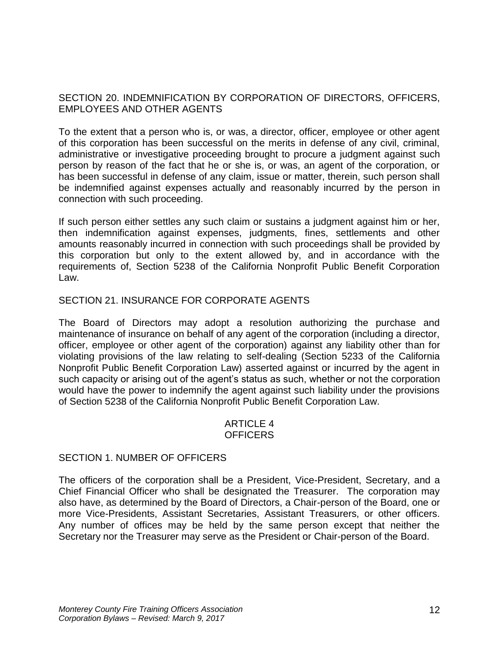# SECTION 20. INDEMNIFICATION BY CORPORATION OF DIRECTORS, OFFICERS, EMPLOYEES AND OTHER AGENTS

To the extent that a person who is, or was, a director, officer, employee or other agent of this corporation has been successful on the merits in defense of any civil, criminal, administrative or investigative proceeding brought to procure a judgment against such person by reason of the fact that he or she is, or was, an agent of the corporation, or has been successful in defense of any claim, issue or matter, therein, such person shall be indemnified against expenses actually and reasonably incurred by the person in connection with such proceeding.

If such person either settles any such claim or sustains a judgment against him or her, then indemnification against expenses, judgments, fines, settlements and other amounts reasonably incurred in connection with such proceedings shall be provided by this corporation but only to the extent allowed by, and in accordance with the requirements of, Section 5238 of the California Nonprofit Public Benefit Corporation Law.

### SECTION 21. INSURANCE FOR CORPORATE AGENTS

The Board of Directors may adopt a resolution authorizing the purchase and maintenance of insurance on behalf of any agent of the corporation (including a director, officer, employee or other agent of the corporation) against any liability other than for violating provisions of the law relating to self-dealing (Section 5233 of the California Nonprofit Public Benefit Corporation Law) asserted against or incurred by the agent in such capacity or arising out of the agent's status as such, whether or not the corporation would have the power to indemnify the agent against such liability under the provisions of Section 5238 of the California Nonprofit Public Benefit Corporation Law.

#### ARTICLE 4 **OFFICERS**

#### SECTION 1. NUMBER OF OFFICERS

The officers of the corporation shall be a President, Vice-President, Secretary, and a Chief Financial Officer who shall be designated the Treasurer. The corporation may also have, as determined by the Board of Directors, a Chair-person of the Board, one or more Vice-Presidents, Assistant Secretaries, Assistant Treasurers, or other officers. Any number of offices may be held by the same person except that neither the Secretary nor the Treasurer may serve as the President or Chair-person of the Board.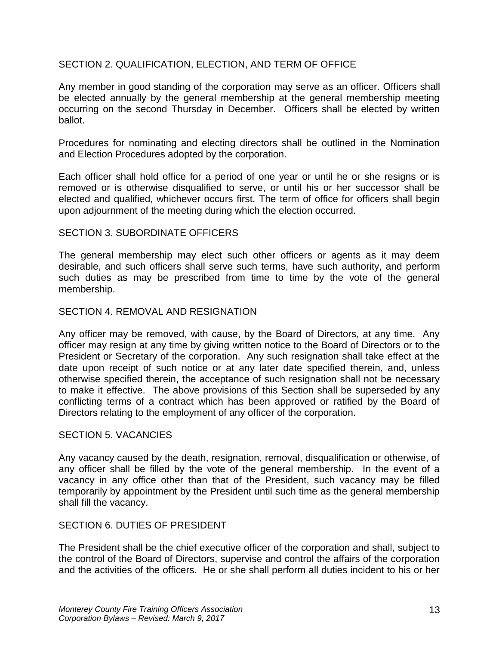# SECTION 2. QUALIFICATION, ELECTION, AND TERM OF OFFICE

Any member in good standing of the corporation may serve as an officer. Officers shall be elected annually by the general membership at the general membership meeting occurring on the second Thursday in December. Officers shall be elected by written ballot.

Procedures for nominating and electing directors shall be outlined in the Nomination and Election Procedures adopted by the corporation.

Each officer shall hold office for a period of one year or until he or she resigns or is removed or is otherwise disqualified to serve, or until his or her successor shall be elected and qualified, whichever occurs first. The term of office for officers shall begin upon adjournment of the meeting during which the election occurred.

### SECTION 3. SUBORDINATE OFFICERS

The general membership may elect such other officers or agents as it may deem desirable, and such officers shall serve such terms, have such authority, and perform such duties as may be prescribed from time to time by the vote of the general membership.

#### SECTION 4. REMOVAL AND RESIGNATION

Any officer may be removed, with cause, by the Board of Directors, at any time. Any officer may resign at any time by giving written notice to the Board of Directors or to the President or Secretary of the corporation. Any such resignation shall take effect at the date upon receipt of such notice or at any later date specified therein, and, unless otherwise specified therein, the acceptance of such resignation shall not be necessary to make it effective. The above provisions of this Section shall be superseded by any conflicting terms of a contract which has been approved or ratified by the Board of Directors relating to the employment of any officer of the corporation.

# SECTION 5. VACANCIES

Any vacancy caused by the death, resignation, removal, disqualification or otherwise, of any officer shall be filled by the vote of the general membership. In the event of a vacancy in any office other than that of the President, such vacancy may be filled temporarily by appointment by the President until such time as the general membership shall fill the vacancy.

# SECTION 6. DUTIES OF PRESIDENT

The President shall be the chief executive officer of the corporation and shall, subject to the control of the Board of Directors, supervise and control the affairs of the corporation and the activities of the officers. He or she shall perform all duties incident to his or her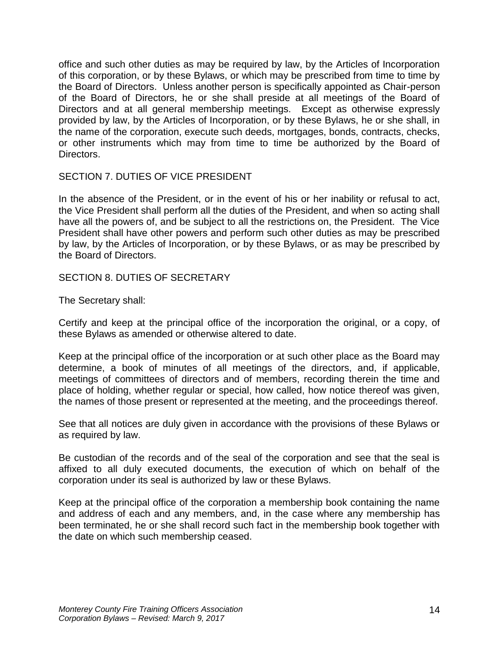office and such other duties as may be required by law, by the Articles of Incorporation of this corporation, or by these Bylaws, or which may be prescribed from time to time by the Board of Directors. Unless another person is specifically appointed as Chair-person of the Board of Directors, he or she shall preside at all meetings of the Board of Directors and at all general membership meetings. Except as otherwise expressly provided by law, by the Articles of Incorporation, or by these Bylaws, he or she shall, in the name of the corporation, execute such deeds, mortgages, bonds, contracts, checks, or other instruments which may from time to time be authorized by the Board of Directors.

SECTION 7. DUTIES OF VICE PRESIDENT

In the absence of the President, or in the event of his or her inability or refusal to act, the Vice President shall perform all the duties of the President, and when so acting shall have all the powers of, and be subject to all the restrictions on, the President. The Vice President shall have other powers and perform such other duties as may be prescribed by law, by the Articles of Incorporation, or by these Bylaws, or as may be prescribed by the Board of Directors.

SECTION 8. DUTIES OF SECRETARY

The Secretary shall:

Certify and keep at the principal office of the incorporation the original, or a copy, of these Bylaws as amended or otherwise altered to date.

Keep at the principal office of the incorporation or at such other place as the Board may determine, a book of minutes of all meetings of the directors, and, if applicable, meetings of committees of directors and of members, recording therein the time and place of holding, whether regular or special, how called, how notice thereof was given, the names of those present or represented at the meeting, and the proceedings thereof.

See that all notices are duly given in accordance with the provisions of these Bylaws or as required by law.

Be custodian of the records and of the seal of the corporation and see that the seal is affixed to all duly executed documents, the execution of which on behalf of the corporation under its seal is authorized by law or these Bylaws.

Keep at the principal office of the corporation a membership book containing the name and address of each and any members, and, in the case where any membership has been terminated, he or she shall record such fact in the membership book together with the date on which such membership ceased.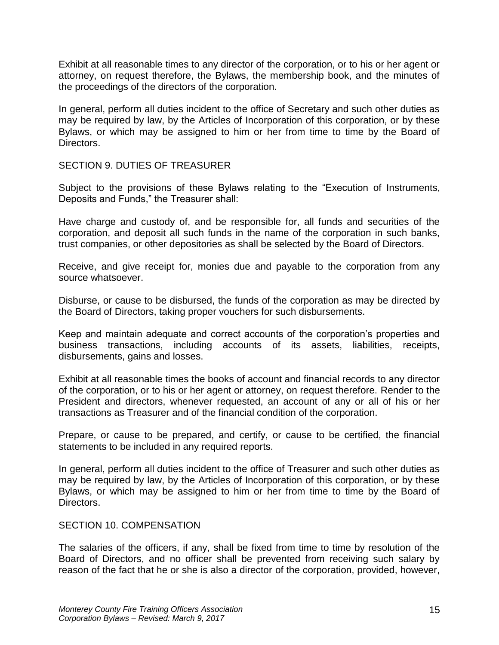Exhibit at all reasonable times to any director of the corporation, or to his or her agent or attorney, on request therefore, the Bylaws, the membership book, and the minutes of the proceedings of the directors of the corporation.

In general, perform all duties incident to the office of Secretary and such other duties as may be required by law, by the Articles of Incorporation of this corporation, or by these Bylaws, or which may be assigned to him or her from time to time by the Board of Directors.

SECTION 9. DUTIES OF TREASURER

Subject to the provisions of these Bylaws relating to the "Execution of Instruments, Deposits and Funds," the Treasurer shall:

Have charge and custody of, and be responsible for, all funds and securities of the corporation, and deposit all such funds in the name of the corporation in such banks, trust companies, or other depositories as shall be selected by the Board of Directors.

Receive, and give receipt for, monies due and payable to the corporation from any source whatsoever.

Disburse, or cause to be disbursed, the funds of the corporation as may be directed by the Board of Directors, taking proper vouchers for such disbursements.

Keep and maintain adequate and correct accounts of the corporation's properties and business transactions, including accounts of its assets, liabilities, receipts, disbursements, gains and losses.

Exhibit at all reasonable times the books of account and financial records to any director of the corporation, or to his or her agent or attorney, on request therefore. Render to the President and directors, whenever requested, an account of any or all of his or her transactions as Treasurer and of the financial condition of the corporation.

Prepare, or cause to be prepared, and certify, or cause to be certified, the financial statements to be included in any required reports.

In general, perform all duties incident to the office of Treasurer and such other duties as may be required by law, by the Articles of Incorporation of this corporation, or by these Bylaws, or which may be assigned to him or her from time to time by the Board of Directors.

# SECTION 10. COMPENSATION

The salaries of the officers, if any, shall be fixed from time to time by resolution of the Board of Directors, and no officer shall be prevented from receiving such salary by reason of the fact that he or she is also a director of the corporation, provided, however,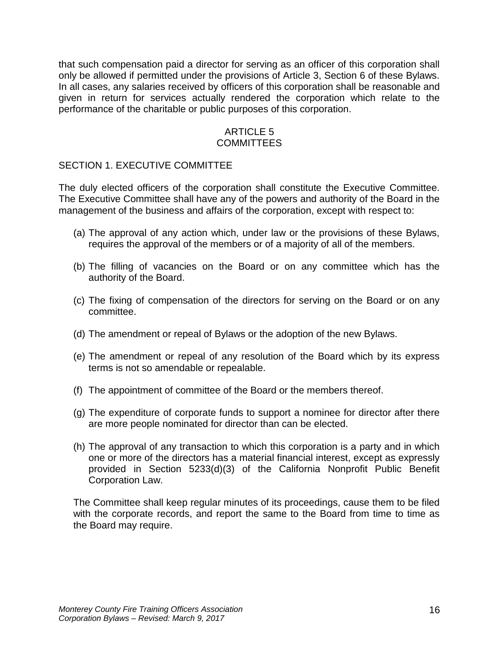that such compensation paid a director for serving as an officer of this corporation shall only be allowed if permitted under the provisions of Article 3, Section 6 of these Bylaws. In all cases, any salaries received by officers of this corporation shall be reasonable and given in return for services actually rendered the corporation which relate to the performance of the charitable or public purposes of this corporation.

#### ARTICLE 5 **COMMITTEES**

SECTION 1. EXECUTIVE COMMITTEE

The duly elected officers of the corporation shall constitute the Executive Committee. The Executive Committee shall have any of the powers and authority of the Board in the management of the business and affairs of the corporation, except with respect to:

- (a) The approval of any action which, under law or the provisions of these Bylaws, requires the approval of the members or of a majority of all of the members.
- (b) The filling of vacancies on the Board or on any committee which has the authority of the Board.
- (c) The fixing of compensation of the directors for serving on the Board or on any committee.
- (d) The amendment or repeal of Bylaws or the adoption of the new Bylaws.
- (e) The amendment or repeal of any resolution of the Board which by its express terms is not so amendable or repealable.
- (f) The appointment of committee of the Board or the members thereof.
- (g) The expenditure of corporate funds to support a nominee for director after there are more people nominated for director than can be elected.
- (h) The approval of any transaction to which this corporation is a party and in which one or more of the directors has a material financial interest, except as expressly provided in Section 5233(d)(3) of the California Nonprofit Public Benefit Corporation Law.

The Committee shall keep regular minutes of its proceedings, cause them to be filed with the corporate records, and report the same to the Board from time to time as the Board may require.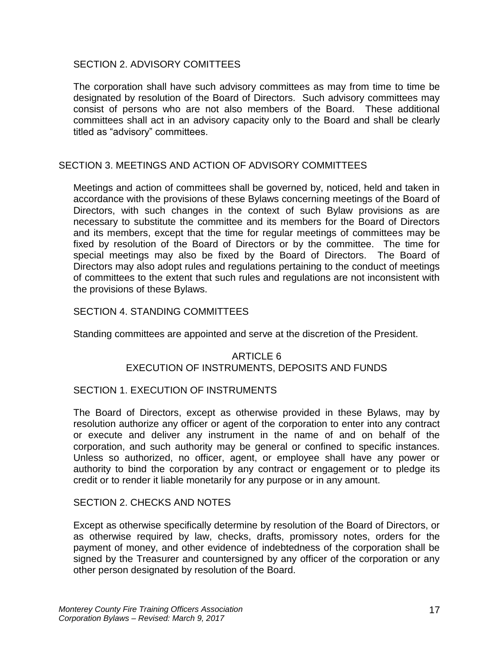# SECTION 2. ADVISORY COMITTEES

The corporation shall have such advisory committees as may from time to time be designated by resolution of the Board of Directors. Such advisory committees may consist of persons who are not also members of the Board. These additional committees shall act in an advisory capacity only to the Board and shall be clearly titled as "advisory" committees.

# SECTION 3. MEETINGS AND ACTION OF ADVISORY COMMITTEES

Meetings and action of committees shall be governed by, noticed, held and taken in accordance with the provisions of these Bylaws concerning meetings of the Board of Directors, with such changes in the context of such Bylaw provisions as are necessary to substitute the committee and its members for the Board of Directors and its members, except that the time for regular meetings of committees may be fixed by resolution of the Board of Directors or by the committee. The time for special meetings may also be fixed by the Board of Directors. The Board of Directors may also adopt rules and regulations pertaining to the conduct of meetings of committees to the extent that such rules and regulations are not inconsistent with the provisions of these Bylaws.

# SECTION 4. STANDING COMMITTEES

Standing committees are appointed and serve at the discretion of the President.

# ARTICLE 6 EXECUTION OF INSTRUMENTS, DEPOSITS AND FUNDS

# SECTION 1. EXECUTION OF INSTRUMENTS

The Board of Directors, except as otherwise provided in these Bylaws, may by resolution authorize any officer or agent of the corporation to enter into any contract or execute and deliver any instrument in the name of and on behalf of the corporation, and such authority may be general or confined to specific instances. Unless so authorized, no officer, agent, or employee shall have any power or authority to bind the corporation by any contract or engagement or to pledge its credit or to render it liable monetarily for any purpose or in any amount.

# SECTION 2. CHECKS AND NOTES

Except as otherwise specifically determine by resolution of the Board of Directors, or as otherwise required by law, checks, drafts, promissory notes, orders for the payment of money, and other evidence of indebtedness of the corporation shall be signed by the Treasurer and countersigned by any officer of the corporation or any other person designated by resolution of the Board.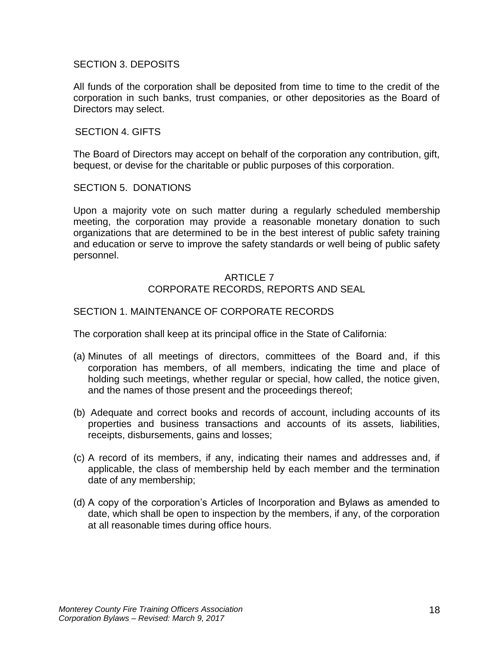## SECTION 3. DEPOSITS

All funds of the corporation shall be deposited from time to time to the credit of the corporation in such banks, trust companies, or other depositories as the Board of Directors may select.

#### SECTION 4. GIFTS

The Board of Directors may accept on behalf of the corporation any contribution, gift, bequest, or devise for the charitable or public purposes of this corporation.

#### SECTION 5. DONATIONS

Upon a majority vote on such matter during a regularly scheduled membership meeting, the corporation may provide a reasonable monetary donation to such organizations that are determined to be in the best interest of public safety training and education or serve to improve the safety standards or well being of public safety personnel.

# ARTICLE 7 CORPORATE RECORDS, REPORTS AND SEAL

### SECTION 1. MAINTENANCE OF CORPORATE RECORDS

The corporation shall keep at its principal office in the State of California:

- (a) Minutes of all meetings of directors, committees of the Board and, if this corporation has members, of all members, indicating the time and place of holding such meetings, whether regular or special, how called, the notice given, and the names of those present and the proceedings thereof;
- (b) Adequate and correct books and records of account, including accounts of its properties and business transactions and accounts of its assets, liabilities, receipts, disbursements, gains and losses;
- (c) A record of its members, if any, indicating their names and addresses and, if applicable, the class of membership held by each member and the termination date of any membership;
- (d) A copy of the corporation's Articles of Incorporation and Bylaws as amended to date, which shall be open to inspection by the members, if any, of the corporation at all reasonable times during office hours.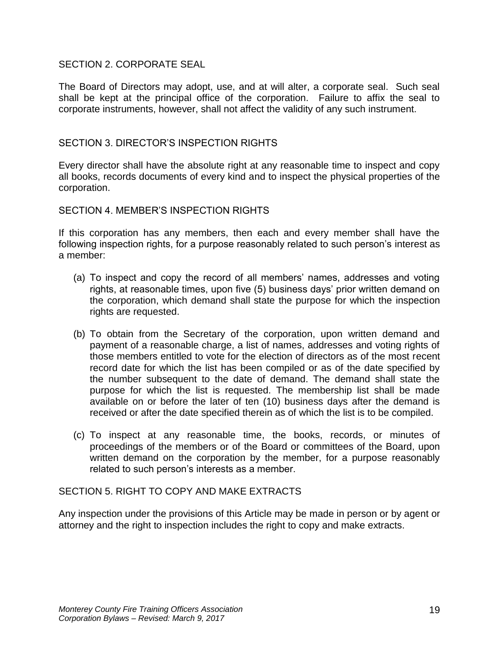## SECTION 2. CORPORATE SEAL

The Board of Directors may adopt, use, and at will alter, a corporate seal. Such seal shall be kept at the principal office of the corporation. Failure to affix the seal to corporate instruments, however, shall not affect the validity of any such instrument.

### SECTION 3. DIRECTOR'S INSPECTION RIGHTS

Every director shall have the absolute right at any reasonable time to inspect and copy all books, records documents of every kind and to inspect the physical properties of the corporation.

### SECTION 4. MEMBER'S INSPECTION RIGHTS

If this corporation has any members, then each and every member shall have the following inspection rights, for a purpose reasonably related to such person's interest as a member:

- (a) To inspect and copy the record of all members' names, addresses and voting rights, at reasonable times, upon five (5) business days' prior written demand on the corporation, which demand shall state the purpose for which the inspection rights are requested.
- (b) To obtain from the Secretary of the corporation, upon written demand and payment of a reasonable charge, a list of names, addresses and voting rights of those members entitled to vote for the election of directors as of the most recent record date for which the list has been compiled or as of the date specified by the number subsequent to the date of demand. The demand shall state the purpose for which the list is requested. The membership list shall be made available on or before the later of ten (10) business days after the demand is received or after the date specified therein as of which the list is to be compiled.
- (c) To inspect at any reasonable time, the books, records, or minutes of proceedings of the members or of the Board or committees of the Board, upon written demand on the corporation by the member, for a purpose reasonably related to such person's interests as a member.

SECTION 5. RIGHT TO COPY AND MAKE EXTRACTS

Any inspection under the provisions of this Article may be made in person or by agent or attorney and the right to inspection includes the right to copy and make extracts.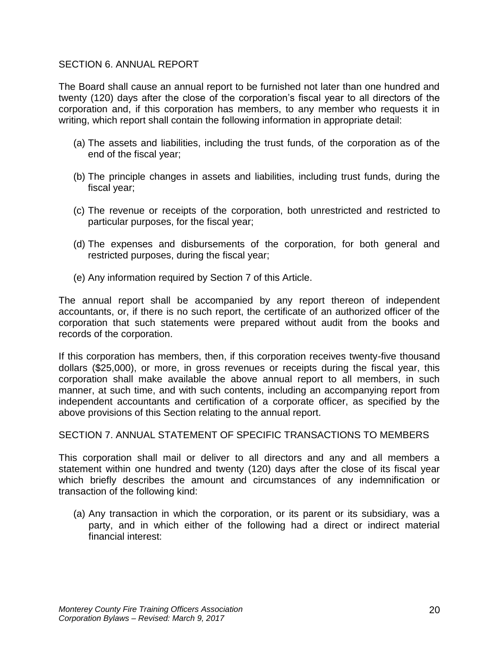# SECTION 6. ANNUAL REPORT

The Board shall cause an annual report to be furnished not later than one hundred and twenty (120) days after the close of the corporation's fiscal year to all directors of the corporation and, if this corporation has members, to any member who requests it in writing, which report shall contain the following information in appropriate detail:

- (a) The assets and liabilities, including the trust funds, of the corporation as of the end of the fiscal year;
- (b) The principle changes in assets and liabilities, including trust funds, during the fiscal year;
- (c) The revenue or receipts of the corporation, both unrestricted and restricted to particular purposes, for the fiscal year;
- (d) The expenses and disbursements of the corporation, for both general and restricted purposes, during the fiscal year;
- (e) Any information required by Section 7 of this Article.

The annual report shall be accompanied by any report thereon of independent accountants, or, if there is no such report, the certificate of an authorized officer of the corporation that such statements were prepared without audit from the books and records of the corporation.

If this corporation has members, then, if this corporation receives twenty-five thousand dollars (\$25,000), or more, in gross revenues or receipts during the fiscal year, this corporation shall make available the above annual report to all members, in such manner, at such time, and with such contents, including an accompanying report from independent accountants and certification of a corporate officer, as specified by the above provisions of this Section relating to the annual report.

# SECTION 7. ANNUAL STATEMENT OF SPECIFIC TRANSACTIONS TO MEMBERS

This corporation shall mail or deliver to all directors and any and all members a statement within one hundred and twenty (120) days after the close of its fiscal year which briefly describes the amount and circumstances of any indemnification or transaction of the following kind:

(a) Any transaction in which the corporation, or its parent or its subsidiary, was a party, and in which either of the following had a direct or indirect material financial interest: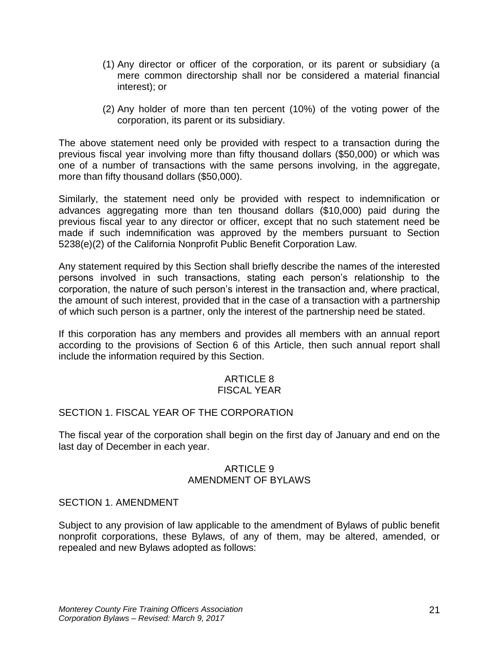- (1) Any director or officer of the corporation, or its parent or subsidiary (a mere common directorship shall nor be considered a material financial interest); or
- (2) Any holder of more than ten percent (10%) of the voting power of the corporation, its parent or its subsidiary.

The above statement need only be provided with respect to a transaction during the previous fiscal year involving more than fifty thousand dollars (\$50,000) or which was one of a number of transactions with the same persons involving, in the aggregate, more than fifty thousand dollars (\$50,000).

Similarly, the statement need only be provided with respect to indemnification or advances aggregating more than ten thousand dollars (\$10,000) paid during the previous fiscal year to any director or officer, except that no such statement need be made if such indemnification was approved by the members pursuant to Section 5238(e)(2) of the California Nonprofit Public Benefit Corporation Law.

Any statement required by this Section shall briefly describe the names of the interested persons involved in such transactions, stating each person's relationship to the corporation, the nature of such person's interest in the transaction and, where practical, the amount of such interest, provided that in the case of a transaction with a partnership of which such person is a partner, only the interest of the partnership need be stated.

If this corporation has any members and provides all members with an annual report according to the provisions of Section 6 of this Article, then such annual report shall include the information required by this Section.

#### ARTICLE 8 FISCAL YEAR

# SECTION 1. FISCAL YEAR OF THE CORPORATION

The fiscal year of the corporation shall begin on the first day of January and end on the last day of December in each year.

# ARTICLE 9 AMENDMENT OF BYLAWS

# SECTION 1. AMENDMENT

Subject to any provision of law applicable to the amendment of Bylaws of public benefit nonprofit corporations, these Bylaws, of any of them, may be altered, amended, or repealed and new Bylaws adopted as follows: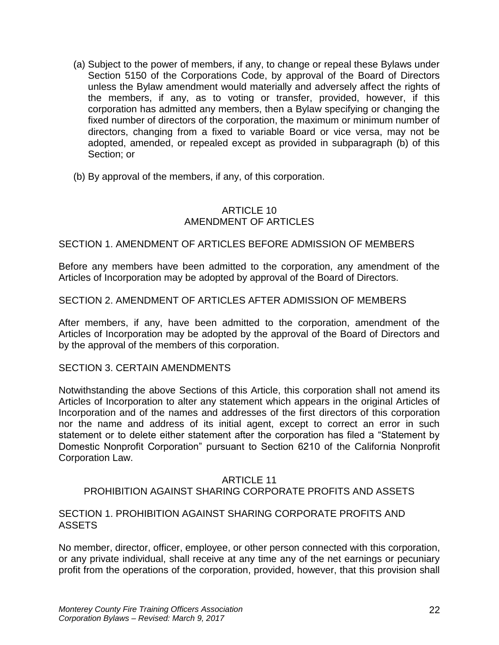- (a) Subject to the power of members, if any, to change or repeal these Bylaws under Section 5150 of the Corporations Code, by approval of the Board of Directors unless the Bylaw amendment would materially and adversely affect the rights of the members, if any, as to voting or transfer, provided, however, if this corporation has admitted any members, then a Bylaw specifying or changing the fixed number of directors of the corporation, the maximum or minimum number of directors, changing from a fixed to variable Board or vice versa, may not be adopted, amended, or repealed except as provided in subparagraph (b) of this Section; or
- (b) By approval of the members, if any, of this corporation.

# ARTICLE 10 AMENDMENT OF ARTICLES

# SECTION 1. AMENDMENT OF ARTICLES BEFORE ADMISSION OF MEMBERS

Before any members have been admitted to the corporation, any amendment of the Articles of Incorporation may be adopted by approval of the Board of Directors.

# SECTION 2. AMENDMENT OF ARTICLES AFTER ADMISSION OF MEMBERS

After members, if any, have been admitted to the corporation, amendment of the Articles of Incorporation may be adopted by the approval of the Board of Directors and by the approval of the members of this corporation.

#### SECTION 3. CERTAIN AMENDMENTS

Notwithstanding the above Sections of this Article, this corporation shall not amend its Articles of Incorporation to alter any statement which appears in the original Articles of Incorporation and of the names and addresses of the first directors of this corporation nor the name and address of its initial agent, except to correct an error in such statement or to delete either statement after the corporation has filed a "Statement by Domestic Nonprofit Corporation" pursuant to Section 6210 of the California Nonprofit Corporation Law.

#### ARTICLE 11

# PROHIBITION AGAINST SHARING CORPORATE PROFITS AND ASSETS

# SECTION 1. PROHIBITION AGAINST SHARING CORPORATE PROFITS AND ASSETS

No member, director, officer, employee, or other person connected with this corporation, or any private individual, shall receive at any time any of the net earnings or pecuniary profit from the operations of the corporation, provided, however, that this provision shall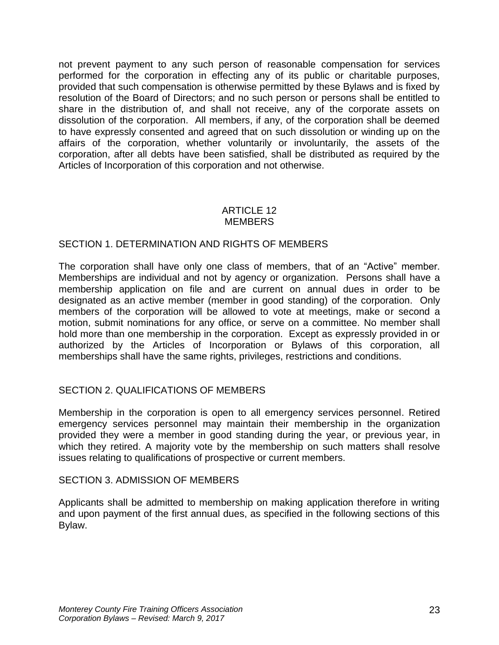not prevent payment to any such person of reasonable compensation for services performed for the corporation in effecting any of its public or charitable purposes, provided that such compensation is otherwise permitted by these Bylaws and is fixed by resolution of the Board of Directors; and no such person or persons shall be entitled to share in the distribution of, and shall not receive, any of the corporate assets on dissolution of the corporation. All members, if any, of the corporation shall be deemed to have expressly consented and agreed that on such dissolution or winding up on the affairs of the corporation, whether voluntarily or involuntarily, the assets of the corporation, after all debts have been satisfied, shall be distributed as required by the Articles of Incorporation of this corporation and not otherwise.

# ARTICLE 12 **MEMBERS**

# SECTION 1. DETERMINATION AND RIGHTS OF MEMBERS

The corporation shall have only one class of members, that of an "Active" member. Memberships are individual and not by agency or organization. Persons shall have a membership application on file and are current on annual dues in order to be designated as an active member (member in good standing) of the corporation. Only members of the corporation will be allowed to vote at meetings, make or second a motion, submit nominations for any office, or serve on a committee. No member shall hold more than one membership in the corporation. Except as expressly provided in or authorized by the Articles of Incorporation or Bylaws of this corporation, all memberships shall have the same rights, privileges, restrictions and conditions.

# SECTION 2. QUALIFICATIONS OF MEMBERS

Membership in the corporation is open to all emergency services personnel. Retired emergency services personnel may maintain their membership in the organization provided they were a member in good standing during the year, or previous year, in which they retired. A majority vote by the membership on such matters shall resolve issues relating to qualifications of prospective or current members.

# SECTION 3. ADMISSION OF MEMBERS

Applicants shall be admitted to membership on making application therefore in writing and upon payment of the first annual dues, as specified in the following sections of this Bylaw.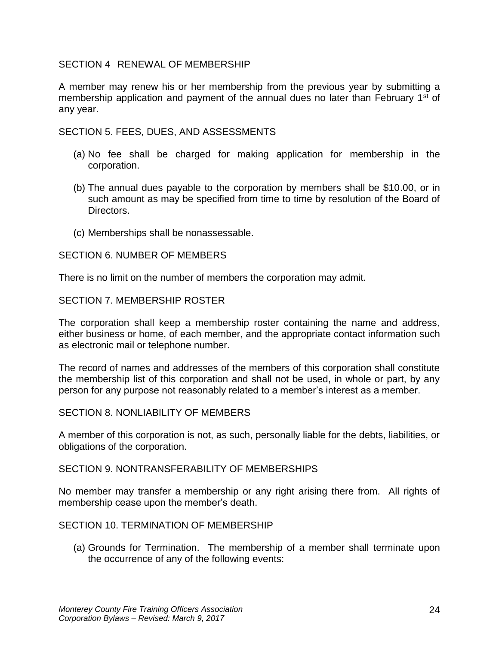## SECTION 4 RENEWAL OF MEMBERSHIP

A member may renew his or her membership from the previous year by submitting a membership application and payment of the annual dues no later than February 1<sup>st</sup> of any year.

#### SECTION 5. FEES, DUES, AND ASSESSMENTS

- (a) No fee shall be charged for making application for membership in the corporation.
- (b) The annual dues payable to the corporation by members shall be \$10.00, or in such amount as may be specified from time to time by resolution of the Board of Directors.
- (c) Memberships shall be nonassessable.

## SECTION 6. NUMBER OF MEMBERS

There is no limit on the number of members the corporation may admit.

SECTION 7. MEMBERSHIP ROSTER

The corporation shall keep a membership roster containing the name and address, either business or home, of each member, and the appropriate contact information such as electronic mail or telephone number.

The record of names and addresses of the members of this corporation shall constitute the membership list of this corporation and shall not be used, in whole or part, by any person for any purpose not reasonably related to a member's interest as a member.

#### SECTION 8. NONLIABILITY OF MEMBERS

A member of this corporation is not, as such, personally liable for the debts, liabilities, or obligations of the corporation.

#### SECTION 9. NONTRANSFERABILITY OF MEMBERSHIPS

No member may transfer a membership or any right arising there from. All rights of membership cease upon the member's death.

#### SECTION 10. TERMINATION OF MEMBERSHIP

(a) Grounds for Termination. The membership of a member shall terminate upon the occurrence of any of the following events: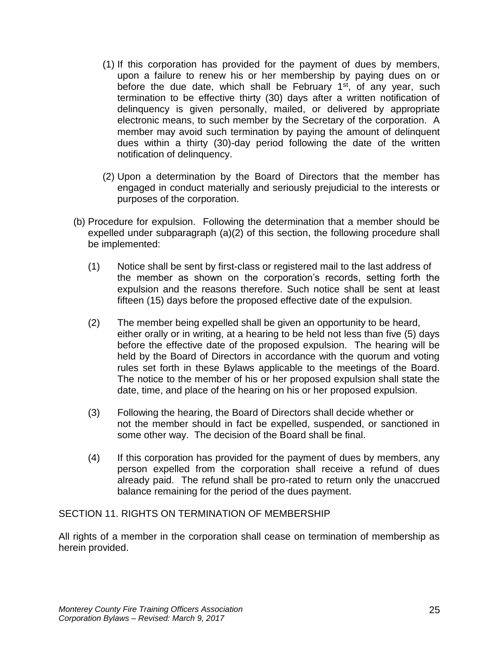- (1) If this corporation has provided for the payment of dues by members, upon a failure to renew his or her membership by paying dues on or before the due date, which shall be February 1<sup>st</sup>, of any year, such termination to be effective thirty (30) days after a written notification of delinquency is given personally, mailed, or delivered by appropriate electronic means, to such member by the Secretary of the corporation. A member may avoid such termination by paying the amount of delinquent dues within a thirty (30)-day period following the date of the written notification of delinquency.
- (2) Upon a determination by the Board of Directors that the member has engaged in conduct materially and seriously prejudicial to the interests or purposes of the corporation.
- (b) Procedure for expulsion. Following the determination that a member should be expelled under subparagraph (a)(2) of this section, the following procedure shall be implemented:
	- (1) Notice shall be sent by first-class or registered mail to the last address of the member as shown on the corporation's records, setting forth the expulsion and the reasons therefore. Such notice shall be sent at least fifteen (15) days before the proposed effective date of the expulsion.
	- (2) The member being expelled shall be given an opportunity to be heard, either orally or in writing, at a hearing to be held not less than five (5) days before the effective date of the proposed expulsion. The hearing will be held by the Board of Directors in accordance with the quorum and voting rules set forth in these Bylaws applicable to the meetings of the Board. The notice to the member of his or her proposed expulsion shall state the date, time, and place of the hearing on his or her proposed expulsion.
	- (3) Following the hearing, the Board of Directors shall decide whether or not the member should in fact be expelled, suspended, or sanctioned in some other way. The decision of the Board shall be final.
	- (4) If this corporation has provided for the payment of dues by members, any person expelled from the corporation shall receive a refund of dues already paid. The refund shall be pro-rated to return only the unaccrued balance remaining for the period of the dues payment.

# SECTION 11. RIGHTS ON TERMINATION OF MEMBERSHIP

All rights of a member in the corporation shall cease on termination of membership as herein provided.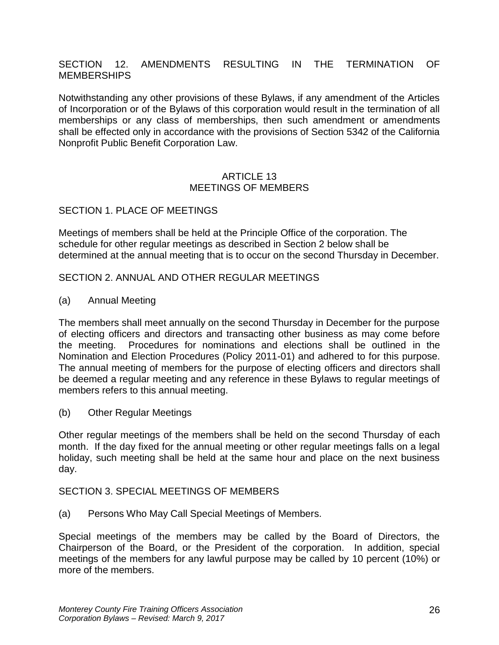# SECTION 12. AMENDMENTS RESULTING IN THE TERMINATION OF **MEMBERSHIPS**

Notwithstanding any other provisions of these Bylaws, if any amendment of the Articles of Incorporation or of the Bylaws of this corporation would result in the termination of all memberships or any class of memberships, then such amendment or amendments shall be effected only in accordance with the provisions of Section 5342 of the California Nonprofit Public Benefit Corporation Law.

## ARTICLE 13 MEETINGS OF MEMBERS

# SECTION 1. PLACE OF MEETINGS

Meetings of members shall be held at the Principle Office of the corporation. The schedule for other regular meetings as described in Section 2 below shall be determined at the annual meeting that is to occur on the second Thursday in December.

# SECTION 2. ANNUAL AND OTHER REGULAR MEETINGS

(a) Annual Meeting

The members shall meet annually on the second Thursday in December for the purpose of electing officers and directors and transacting other business as may come before the meeting. Procedures for nominations and elections shall be outlined in the Nomination and Election Procedures (Policy 2011-01) and adhered to for this purpose. The annual meeting of members for the purpose of electing officers and directors shall be deemed a regular meeting and any reference in these Bylaws to regular meetings of members refers to this annual meeting.

(b) Other Regular Meetings

Other regular meetings of the members shall be held on the second Thursday of each month. If the day fixed for the annual meeting or other regular meetings falls on a legal holiday, such meeting shall be held at the same hour and place on the next business day.

# SECTION 3. SPECIAL MEETINGS OF MEMBERS

(a) Persons Who May Call Special Meetings of Members.

Special meetings of the members may be called by the Board of Directors, the Chairperson of the Board, or the President of the corporation. In addition, special meetings of the members for any lawful purpose may be called by 10 percent (10%) or more of the members.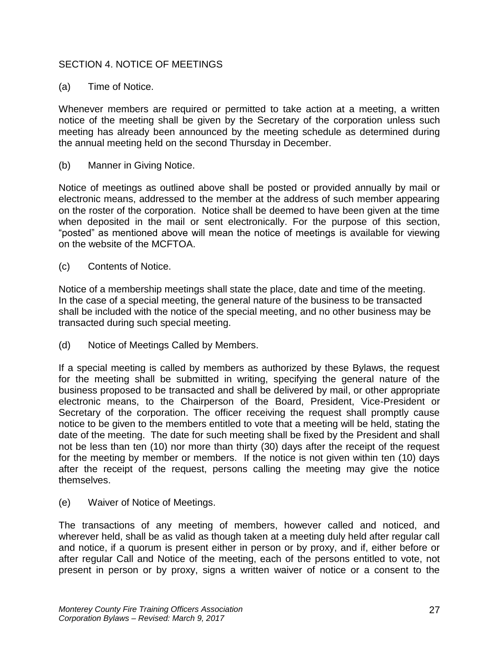# SECTION 4. NOTICE OF MEETINGS

(a) Time of Notice.

Whenever members are required or permitted to take action at a meeting, a written notice of the meeting shall be given by the Secretary of the corporation unless such meeting has already been announced by the meeting schedule as determined during the annual meeting held on the second Thursday in December.

(b) Manner in Giving Notice.

Notice of meetings as outlined above shall be posted or provided annually by mail or electronic means, addressed to the member at the address of such member appearing on the roster of the corporation. Notice shall be deemed to have been given at the time when deposited in the mail or sent electronically. For the purpose of this section, "posted" as mentioned above will mean the notice of meetings is available for viewing on the website of the MCFTOA.

(c) Contents of Notice.

Notice of a membership meetings shall state the place, date and time of the meeting. In the case of a special meeting, the general nature of the business to be transacted shall be included with the notice of the special meeting, and no other business may be transacted during such special meeting.

(d) Notice of Meetings Called by Members.

If a special meeting is called by members as authorized by these Bylaws, the request for the meeting shall be submitted in writing, specifying the general nature of the business proposed to be transacted and shall be delivered by mail, or other appropriate electronic means, to the Chairperson of the Board, President, Vice-President or Secretary of the corporation. The officer receiving the request shall promptly cause notice to be given to the members entitled to vote that a meeting will be held, stating the date of the meeting. The date for such meeting shall be fixed by the President and shall not be less than ten (10) nor more than thirty (30) days after the receipt of the request for the meeting by member or members. If the notice is not given within ten (10) days after the receipt of the request, persons calling the meeting may give the notice themselves.

(e) Waiver of Notice of Meetings.

The transactions of any meeting of members, however called and noticed, and wherever held, shall be as valid as though taken at a meeting duly held after regular call and notice, if a quorum is present either in person or by proxy, and if, either before or after regular Call and Notice of the meeting, each of the persons entitled to vote, not present in person or by proxy, signs a written waiver of notice or a consent to the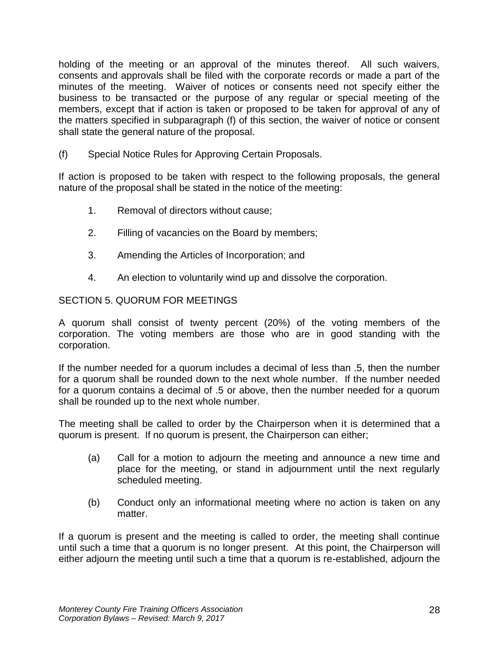holding of the meeting or an approval of the minutes thereof. All such waivers, consents and approvals shall be filed with the corporate records or made a part of the minutes of the meeting. Waiver of notices or consents need not specify either the business to be transacted or the purpose of any regular or special meeting of the members, except that if action is taken or proposed to be taken for approval of any of the matters specified in subparagraph (f) of this section, the waiver of notice or consent shall state the general nature of the proposal.

(f) Special Notice Rules for Approving Certain Proposals.

If action is proposed to be taken with respect to the following proposals, the general nature of the proposal shall be stated in the notice of the meeting:

- 1. Removal of directors without cause;
- 2. Filling of vacancies on the Board by members;
- 3. Amending the Articles of Incorporation; and
- 4. An election to voluntarily wind up and dissolve the corporation.

# SECTION 5. QUORUM FOR MEETINGS

A quorum shall consist of twenty percent (20%) of the voting members of the corporation. The voting members are those who are in good standing with the corporation.

If the number needed for a quorum includes a decimal of less than .5, then the number for a quorum shall be rounded down to the next whole number. If the number needed for a quorum contains a decimal of .5 or above, then the number needed for a quorum shall be rounded up to the next whole number.

The meeting shall be called to order by the Chairperson when it is determined that a quorum is present. If no quorum is present, the Chairperson can either;

- (a) Call for a motion to adjourn the meeting and announce a new time and place for the meeting, or stand in adjournment until the next regularly scheduled meeting.
- (b) Conduct only an informational meeting where no action is taken on any matter.

If a quorum is present and the meeting is called to order, the meeting shall continue until such a time that a quorum is no longer present. At this point, the Chairperson will either adjourn the meeting until such a time that a quorum is re-established, adjourn the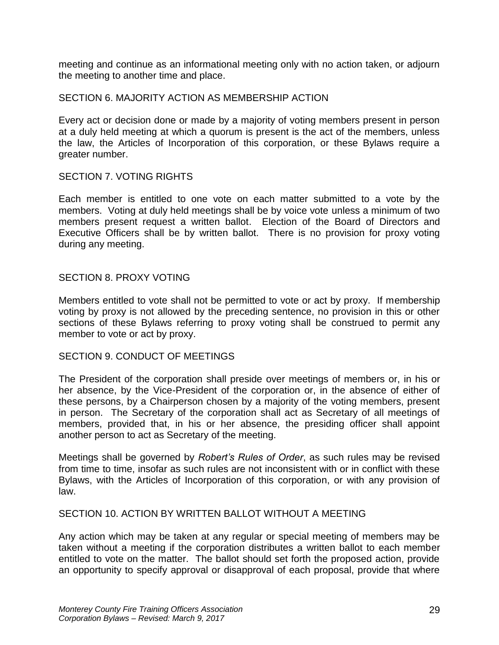meeting and continue as an informational meeting only with no action taken, or adjourn the meeting to another time and place.

## SECTION 6. MAJORITY ACTION AS MEMBERSHIP ACTION

Every act or decision done or made by a majority of voting members present in person at a duly held meeting at which a quorum is present is the act of the members, unless the law, the Articles of Incorporation of this corporation, or these Bylaws require a greater number.

### SECTION 7. VOTING RIGHTS

Each member is entitled to one vote on each matter submitted to a vote by the members. Voting at duly held meetings shall be by voice vote unless a minimum of two members present request a written ballot. Election of the Board of Directors and Executive Officers shall be by written ballot. There is no provision for proxy voting during any meeting.

### SECTION 8. PROXY VOTING

Members entitled to vote shall not be permitted to vote or act by proxy. If membership voting by proxy is not allowed by the preceding sentence, no provision in this or other sections of these Bylaws referring to proxy voting shall be construed to permit any member to vote or act by proxy.

#### SECTION 9. CONDUCT OF MEETINGS

The President of the corporation shall preside over meetings of members or, in his or her absence, by the Vice-President of the corporation or, in the absence of either of these persons, by a Chairperson chosen by a majority of the voting members, present in person. The Secretary of the corporation shall act as Secretary of all meetings of members, provided that, in his or her absence, the presiding officer shall appoint another person to act as Secretary of the meeting.

Meetings shall be governed by *Robert's Rules of Order*, as such rules may be revised from time to time, insofar as such rules are not inconsistent with or in conflict with these Bylaws, with the Articles of Incorporation of this corporation, or with any provision of law.

#### SECTION 10. ACTION BY WRITTEN BALLOT WITHOUT A MEETING

Any action which may be taken at any regular or special meeting of members may be taken without a meeting if the corporation distributes a written ballot to each member entitled to vote on the matter. The ballot should set forth the proposed action, provide an opportunity to specify approval or disapproval of each proposal, provide that where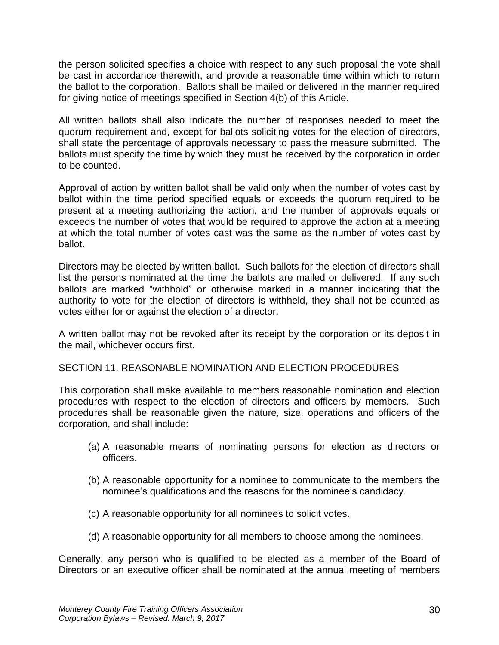the person solicited specifies a choice with respect to any such proposal the vote shall be cast in accordance therewith, and provide a reasonable time within which to return the ballot to the corporation. Ballots shall be mailed or delivered in the manner required for giving notice of meetings specified in Section 4(b) of this Article.

All written ballots shall also indicate the number of responses needed to meet the quorum requirement and, except for ballots soliciting votes for the election of directors, shall state the percentage of approvals necessary to pass the measure submitted. The ballots must specify the time by which they must be received by the corporation in order to be counted.

Approval of action by written ballot shall be valid only when the number of votes cast by ballot within the time period specified equals or exceeds the quorum required to be present at a meeting authorizing the action, and the number of approvals equals or exceeds the number of votes that would be required to approve the action at a meeting at which the total number of votes cast was the same as the number of votes cast by ballot.

Directors may be elected by written ballot. Such ballots for the election of directors shall list the persons nominated at the time the ballots are mailed or delivered. If any such ballots are marked "withhold" or otherwise marked in a manner indicating that the authority to vote for the election of directors is withheld, they shall not be counted as votes either for or against the election of a director.

A written ballot may not be revoked after its receipt by the corporation or its deposit in the mail, whichever occurs first.

# SECTION 11. REASONABLE NOMINATION AND ELECTION PROCEDURES

This corporation shall make available to members reasonable nomination and election procedures with respect to the election of directors and officers by members. Such procedures shall be reasonable given the nature, size, operations and officers of the corporation, and shall include:

- (a) A reasonable means of nominating persons for election as directors or officers.
- (b) A reasonable opportunity for a nominee to communicate to the members the nominee's qualifications and the reasons for the nominee's candidacy.
- (c) A reasonable opportunity for all nominees to solicit votes.
- (d) A reasonable opportunity for all members to choose among the nominees.

Generally, any person who is qualified to be elected as a member of the Board of Directors or an executive officer shall be nominated at the annual meeting of members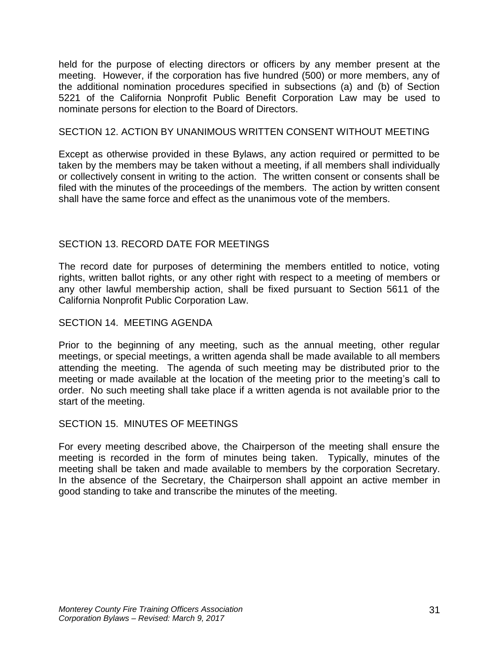held for the purpose of electing directors or officers by any member present at the meeting. However, if the corporation has five hundred (500) or more members, any of the additional nomination procedures specified in subsections (a) and (b) of Section 5221 of the California Nonprofit Public Benefit Corporation Law may be used to nominate persons for election to the Board of Directors.

# SECTION 12. ACTION BY UNANIMOUS WRITTEN CONSENT WITHOUT MEETING

Except as otherwise provided in these Bylaws, any action required or permitted to be taken by the members may be taken without a meeting, if all members shall individually or collectively consent in writing to the action. The written consent or consents shall be filed with the minutes of the proceedings of the members. The action by written consent shall have the same force and effect as the unanimous vote of the members.

# SECTION 13. RECORD DATE FOR MEETINGS

The record date for purposes of determining the members entitled to notice, voting rights, written ballot rights, or any other right with respect to a meeting of members or any other lawful membership action, shall be fixed pursuant to Section 5611 of the California Nonprofit Public Corporation Law.

# SECTION 14. MEETING AGENDA

Prior to the beginning of any meeting, such as the annual meeting, other regular meetings, or special meetings, a written agenda shall be made available to all members attending the meeting. The agenda of such meeting may be distributed prior to the meeting or made available at the location of the meeting prior to the meeting's call to order. No such meeting shall take place if a written agenda is not available prior to the start of the meeting.

# SECTION 15. MINUTES OF MEETINGS

For every meeting described above, the Chairperson of the meeting shall ensure the meeting is recorded in the form of minutes being taken. Typically, minutes of the meeting shall be taken and made available to members by the corporation Secretary. In the absence of the Secretary, the Chairperson shall appoint an active member in good standing to take and transcribe the minutes of the meeting.